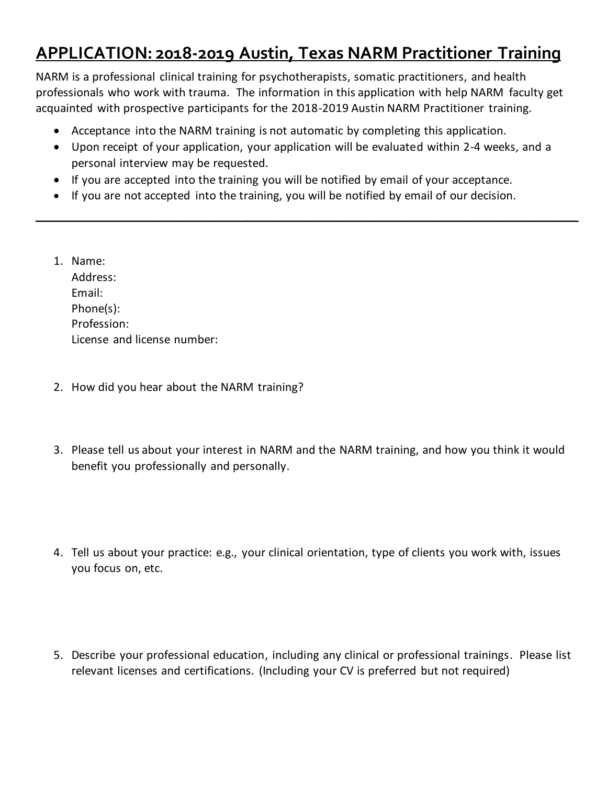## **APPLICATION: 2018-2019 Austin, Texas NARM Practitioner Training**

NARM is a professional clinical training for psychotherapists, somatic practitioners, and health professionals who work with trauma. The information in this application with help NARM faculty get acquainted with prospective participants for the 2018-2019 Austin NARM Practitioner training.

- Acceptance into the NARM training is not automatic by completing this application.
- Upon receipt of your application, your application will be evaluated within 2-4 weeks, and a personal interview may be requested.

**\_\_\_\_\_\_\_\_\_\_\_\_\_\_\_\_\_\_\_\_\_\_\_\_\_\_\_\_\_\_\_\_\_\_\_\_\_\_\_\_\_\_\_\_\_\_\_\_\_\_\_\_\_\_\_\_\_\_\_\_\_\_\_\_\_\_\_\_\_\_\_\_\_\_\_\_\_\_\_\_\_\_\_\_\_\_\_\_\_\_\_\_\_**

- If you are accepted into the training you will be notified by email of your acceptance.
- If you are not accepted into the training, you will be notified by email of our decision.
- 1. Name: Address: Email: Phone(s): Profession: License and license number:
- 2. How did you hear about the NARM training?
- 3. Please tell us about your interest in NARM and the NARM training, and how you think it would benefit you professionally and personally.
- 4. Tell us about your practice: e.g., your clinical orientation, type of clients you work with, issues you focus on, etc.
- 5. Describe your professional education, including any clinical or professional trainings. Please list relevant licenses and certifications. (Including your CV is preferred but not required)